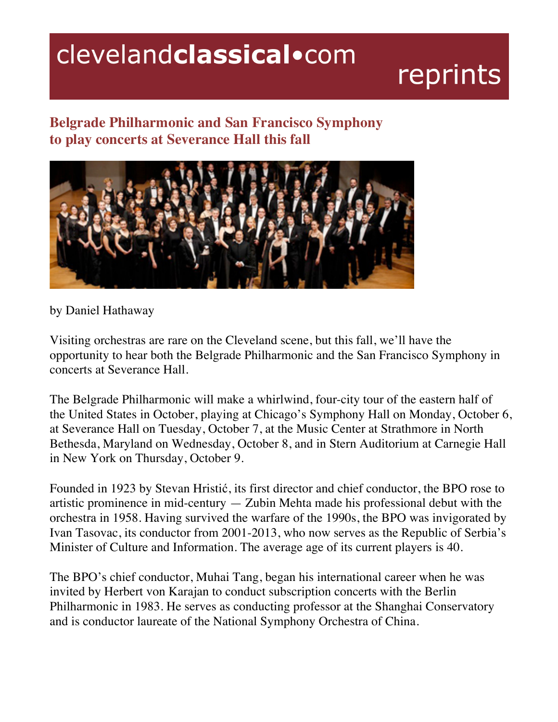## clevelandclassical.com

## reprints

## **Belgrade Philharmonic and San Francisco Symphony to play concerts at Severance Hall this fall**



by Daniel Hathaway

Visiting orchestras are rare on the Cleveland scene, but this fall, we'll have the opportunity to hear both the Belgrade Philharmonic and the San Francisco Symphony in concerts at Severance Hall.

The Belgrade Philharmonic will make a whirlwind, four-city tour of the eastern half of the United States in October, playing at Chicago's Symphony Hall on Monday, October 6, at Severance Hall on Tuesday, October 7, at the Music Center at Strathmore in North Bethesda, Maryland on Wednesday, October 8, and in Stern Auditorium at Carnegie Hall in New York on Thursday, October 9.

Founded in 1923 by Stevan Hristić, its first director and chief conductor, the BPO rose to artistic prominence in mid-century — Zubin Mehta made his professional debut with the orchestra in 1958. Having survived the warfare of the 1990s, the BPO was invigorated by Ivan Tasovac, its conductor from 2001-2013, who now serves as the Republic of Serbia's Minister of Culture and Information. The average age of its current players is 40.

The BPO's chief conductor, Muhai Tang, began his international career when he was invited by Herbert von Karajan to conduct subscription concerts with the Berlin Philharmonic in 1983. He serves as conducting professor at the Shanghai Conservatory and is conductor laureate of the National Symphony Orchestra of China.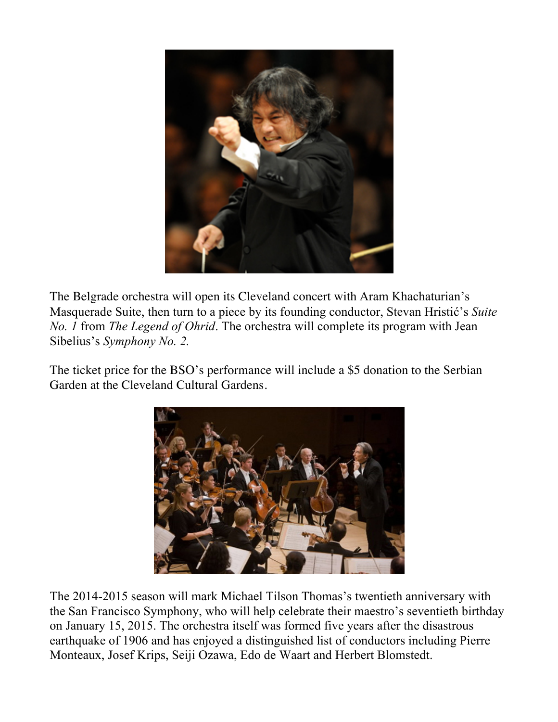

The Belgrade orchestra will open its Cleveland concert with Aram Khachaturian's Masquerade Suite, then turn to a piece by its founding conductor, Stevan Hristić's *Suite No. 1* from *The Legend of Ohrid*. The orchestra will complete its program with Jean Sibelius's *Symphony No. 2.*

The ticket price for the BSO's performance will include a \$5 donation to the Serbian Garden at the Cleveland Cultural Gardens.



The 2014-2015 season will mark Michael Tilson Thomas's twentieth anniversary with the San Francisco Symphony, who will help celebrate their maestro's seventieth birthday on January 15, 2015. The orchestra itself was formed five years after the disastrous earthquake of 1906 and has enjoyed a distinguished list of conductors including Pierre Monteaux, Josef Krips, Seiji Ozawa, Edo de Waart and Herbert Blomstedt.